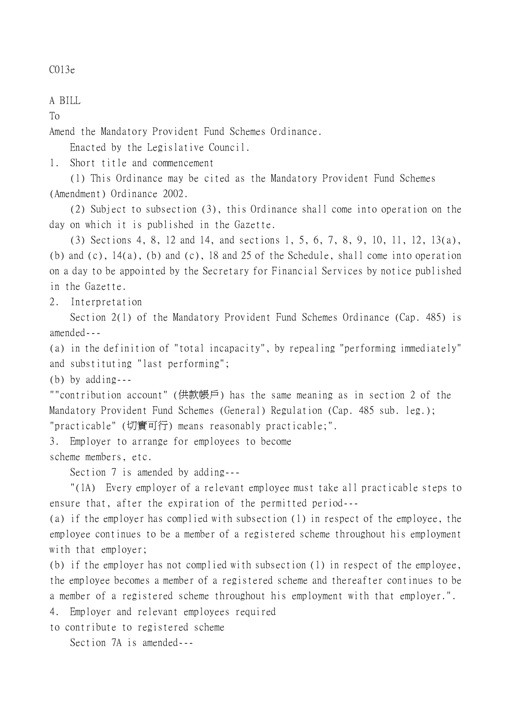C013e

A BILL

To

Amend the Mandatory Provident Fund Schemes Ordinance.

Enacted by the Legislative Council.

1. Short title and commencement

(1) This Ordinance may be cited as the Mandatory Provident Fund Schemes (Amendment) Ordinance 2002.

(2) Subject to subsection (3), this Ordinance shall come into operation on the day on which it is published in the Gazette.

(3) Sections 4, 8, 12 and 14, and sections 1, 5, 6, 7, 8, 9, 10, 11, 12, 13(a), (b) and (c), 14(a), (b) and (c), 18 and 25 of the Schedule, shall come into operation on a day to be appointed by the Secretary for Financial Services by notice published in the Gazette.

2. Interpretation

Section 2(1) of the Mandatory Provident Fund Schemes Ordinance (Cap. 485) is amended---

(a) in the definition of "total incapacity", by repealing "performing immediately" and substituting "last performing";

(b) by adding---

""contribution account" (供款帳戶) has the same meaning as in section 2 of the Mandatory Provident Fund Schemes (General) Regulation (Cap. 485 sub. leg.); "practicable" (切實可行) means reasonably practicable;".

3. Employer to arrange for employees to become scheme members, etc.

Section 7 is amended by adding---

"(1A) Every employer of a relevant employee must take all practicable steps to ensure that, after the expiration of the permitted period---

(a) if the employer has complied with subsection (1) in respect of the employee, the employee continues to be a member of a registered scheme throughout his employment with that employer;

(b) if the employer has not complied with subsection (1) in respect of the employee, the employee becomes a member of a registered scheme and thereafter continues to be a member of a registered scheme throughout his employment with that employer.".

4. Employer and relevant employees required

to contribute to registered scheme

Section 7A is amended---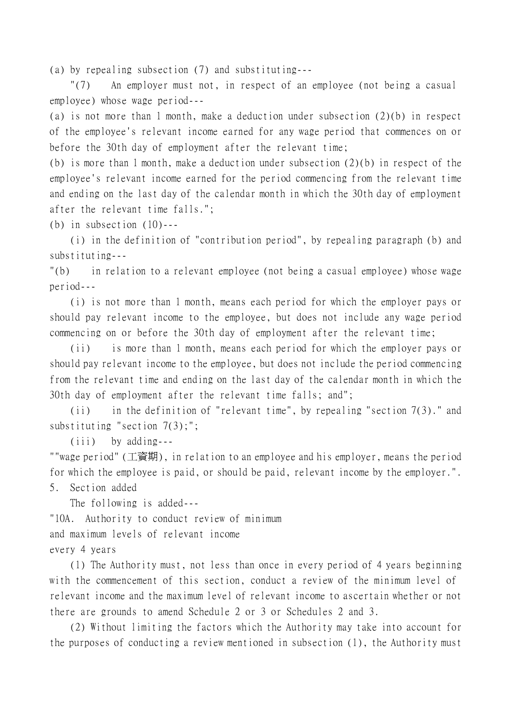(a) by repealing subsection (7) and substituting---

"(7) An employer must not, in respect of an employee (not being a casual employee) whose wage period---

(a) is not more than 1 month, make a deduction under subsection (2)(b) in respect of the employee's relevant income earned for any wage period that commences on or before the 30th day of employment after the relevant time;

(b) is more than 1 month, make a deduction under subsection (2)(b) in respect of the employee's relevant income earned for the period commencing from the relevant time and ending on the last day of the calendar month in which the 30th day of employment after the relevant time falls.";

(b) in subsection  $(10)$ ---

(i) in the definition of "contribution period", by repealing paragraph (b) and substituting---

"(b) in relation to a relevant employee (not being a casual employee) whose wage period---

(i) is not more than 1 month, means each period for which the employer pays or should pay relevant income to the employee, but does not include any wage period commencing on or before the 30th day of employment after the relevant time;

(ii) is more than 1 month, means each period for which the employer pays or should pay relevant income to the employee, but does not include the period commencing from the relevant time and ending on the last day of the calendar month in which the 30th day of employment after the relevant time falls; and";

(ii) in the definition of "relevant time", by repealing "section  $7(3)$ ." and substituting "section 7(3);";

(iii) by adding---

""wage period" (工資期), in relation to an employee and his employer, means the period for which the employee is paid, or should be paid, relevant income by the employer.". 5. Section added

The following is added--- "10A. Authority to conduct review of minimum and maximum levels of relevant income every 4 years

(1) The Authority must, not less than once in every period of 4 years beginning with the commencement of this section, conduct a review of the minimum level of relevant income and the maximum level of relevant income to ascertain whether or not there are grounds to amend Schedule 2 or 3 or Schedules 2 and 3.

(2) Without limiting the factors which the Authority may take into account for the purposes of conducting a review mentioned in subsection (1), the Authority must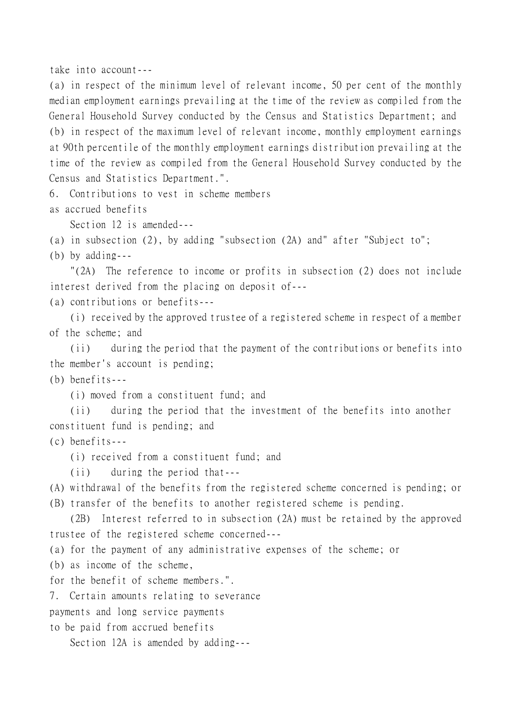take into account---

(a) in respect of the minimum level of relevant income, 50 per cent of the monthly median employment earnings prevailing at the time of the review as compiled from the General Household Survey conducted by the Census and Statistics Department; and (b) in respect of the maximum level of relevant income, monthly employment earnings at 90th percentile of the monthly employment earnings distribution prevailing at the time of the review as compiled from the General Household Survey conducted by the Census and Statistics Department.".

6. Contributions to vest in scheme members

as accrued benefits

Section 12 is amended---

(a) in subsection (2), by adding "subsection (2A) and" after "Subject to";

(b) by adding---

"(2A) The reference to income or profits in subsection (2) does not include interest derived from the placing on deposit of---

(a) contributions or benefits---

(i) received by the approved trustee of a registered scheme in respect of a member of the scheme; and

(ii) during the period that the payment of the contributions or benefits into the member's account is pending;

(b) benefits---

(i) moved from a constituent fund; and

(ii) during the period that the investment of the benefits into another constituent fund is pending; and

(c) benefits---

(i) received from a constituent fund; and

(ii) during the period that---

(A) withdrawal of the benefits from the registered scheme concerned is pending; or

(B) transfer of the benefits to another registered scheme is pending.

(2B) Interest referred to in subsection (2A) must be retained by the approved trustee of the registered scheme concerned---

(a) for the payment of any administrative expenses of the scheme; or

(b) as income of the scheme,

for the benefit of scheme members.".

7. Certain amounts relating to severance

payments and long service payments

to be paid from accrued benefits

Section 12A is amended by adding---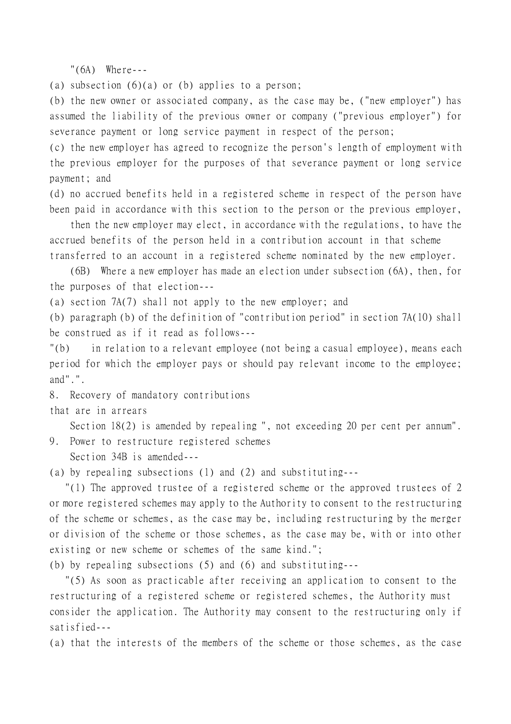$" (6A)$  Where---

(a) subsection  $(6)(a)$  or (b) applies to a person;

(b) the new owner or associated company, as the case may be, ("new employer") has assumed the liability of the previous owner or company ("previous employer") for severance payment or long service payment in respect of the person;

(c) the new employer has agreed to recognize the person's length of employment with the previous employer for the purposes of that severance payment or long service payment; and

(d) no accrued benefits held in a registered scheme in respect of the person have been paid in accordance with this section to the person or the previous employer,

then the new employer may elect, in accordance with the regulations, to have the accrued benefits of the person held in a contribution account in that scheme transferred to an account in a registered scheme nominated by the new employer.

(6B) Where a new employer has made an election under subsection (6A), then, for the purposes of that election---

(a) section 7A(7) shall not apply to the new employer; and

(b) paragraph (b) of the definition of "contribution period" in section 7A(10) shall be construed as if it read as follows---

"(b) in relation to a relevant employee (not being a casual employee), means each period for which the employer pays or should pay relevant income to the employee; and".".

8. Recovery of mandatory contributions

that are in arrears

Section 18(2) is amended by repealing ", not exceeding 20 per cent per annum".

9. Power to restructure registered schemes

Section 34B is amended---

(a) by repealing subsections (1) and (2) and substituting---

 "(1) The approved trustee of a registered scheme or the approved trustees of 2 or more registered schemes may apply to the Authority to consent to the restructuring of the scheme or schemes, as the case may be, including restructuring by the merger or division of the scheme or those schemes, as the case may be, with or into other existing or new scheme or schemes of the same kind.";

(b) by repealing subsections (5) and (6) and substituting---

 "(5) As soon as practicable after receiving an application to consent to the restructuring of a registered scheme or registered schemes, the Authority must consider the application. The Authority may consent to the restructuring only if satisfied---

(a) that the interests of the members of the scheme or those schemes, as the case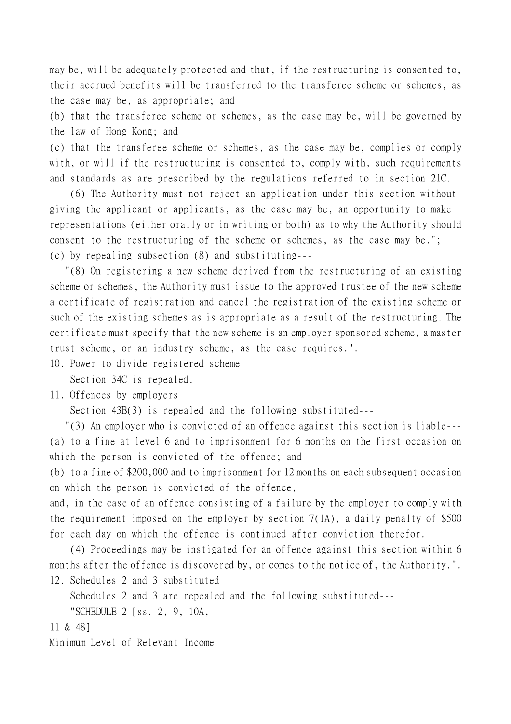may be, will be adequately protected and that, if the restructuring is consented to, their accrued benefits will be transferred to the transferee scheme or schemes, as the case may be, as appropriate; and

(b) that the transferee scheme or schemes, as the case may be, will be governed by the law of Hong Kong; and

(c) that the transferee scheme or schemes, as the case may be, complies or comply with, or will if the restructuring is consented to, comply with, such requirements and standards as are prescribed by the regulations referred to in section 21C.

(6) The Authority must not reject an application under this section without giving the applicant or applicants, as the case may be, an opportunity to make representations (either orally or in writing or both) as to why the Authority should consent to the restructuring of the scheme or schemes, as the case may be."; (c) by repealing subsection (8) and substituting---

 "(8) On registering a new scheme derived from the restructuring of an existing scheme or schemes, the Authority must issue to the approved trustee of the new scheme a certificate of registration and cancel the registration of the existing scheme or such of the existing schemes as is appropriate as a result of the restructuring. The certificate must specify that the new scheme is an employer sponsored scheme, a master trust scheme, or an industry scheme, as the case requires.".

10. Power to divide registered scheme

Section 34C is repealed.

11. Offences by employers

Section 43B(3) is repealed and the following substituted---

 "(3) An employer who is convicted of an offence against this section is liable--- (a) to a fine at level 6 and to imprisonment for 6 months on the first occasion on which the person is convicted of the offence; and

(b) to a fine of \$200,000 and to imprisonment for 12 months on each subsequent occasion on which the person is convicted of the offence,

and, in the case of an offence consisting of a failure by the employer to comply with the requirement imposed on the employer by section 7(1A), a daily penalty of \$500 for each day on which the offence is continued after conviction therefor.

(4) Proceedings may be instigated for an offence against this section within 6 months after the offence is discovered by, or comes to the notice of, the Authority.". 12. Schedules 2 and 3 substituted

Schedules 2 and 3 are repealed and the following substituted---

"SCHEDULE 2 [ss. 2, 9, 10A,

11 & 48]

Minimum Level of Relevant Income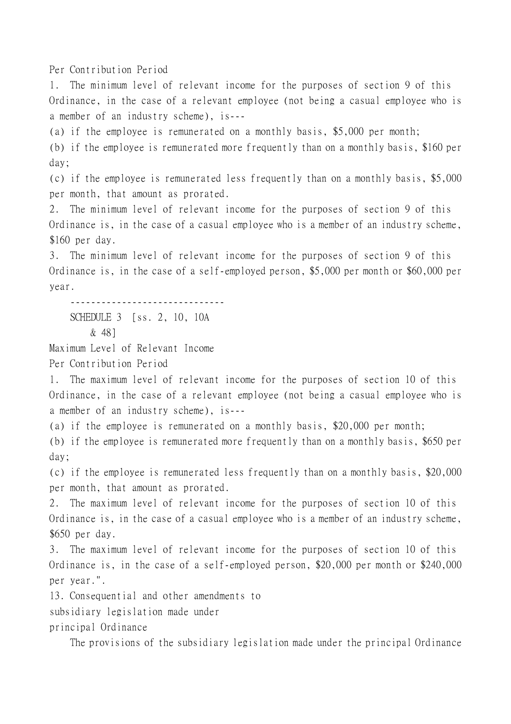Per Contribution Period

1. The minimum level of relevant income for the purposes of section 9 of this Ordinance, in the case of a relevant employee (not being a casual employee who is a member of an industry scheme), is---

(a) if the employee is remunerated on a monthly basis, \$5,000 per month;

(b) if the employee is remunerated more frequently than on a monthly basis, \$160 per day;

(c) if the employee is remunerated less frequently than on a monthly basis, \$5,000 per month, that amount as prorated.

2. The minimum level of relevant income for the purposes of section 9 of this Ordinance is, in the case of a casual employee who is a member of an industry scheme, \$160 per day.

3. The minimum level of relevant income for the purposes of section 9 of this Ordinance is, in the case of a self-employed person, \$5,000 per month or \$60,000 per year.

------------------------------ SCHEDULE 3 [ss. 2, 10, 10A & 48]

Maximum Level of Relevant Income

Per Contribution Period

1. The maximum level of relevant income for the purposes of section 10 of this Ordinance, in the case of a relevant employee (not being a casual employee who is a member of an industry scheme), is---

(a) if the employee is remunerated on a monthly basis, \$20,000 per month;

(b) if the employee is remunerated more frequently than on a monthly basis, \$650 per day;

(c) if the employee is remunerated less frequently than on a monthly basis, \$20,000 per month, that amount as prorated.

2. The maximum level of relevant income for the purposes of section 10 of this Ordinance is, in the case of a casual employee who is a member of an industry scheme, \$650 per day.

3. The maximum level of relevant income for the purposes of section 10 of this Ordinance is, in the case of a self-employed person, \$20,000 per month or \$240,000 per year.".

13. Consequential and other amendments to subsidiary legislation made under principal Ordinance

The provisions of the subsidiary legislation made under the principal Ordinance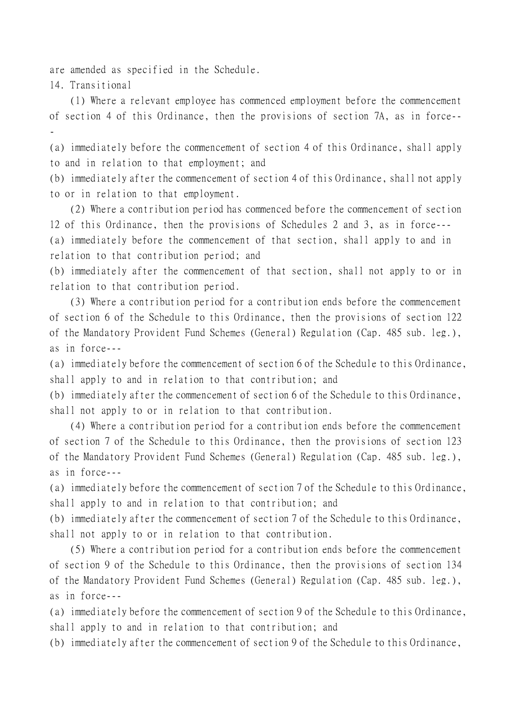are amended as specified in the Schedule.

14. Transitional

(1) Where a relevant employee has commenced employment before the commencement of section 4 of this Ordinance, then the provisions of section 7A, as in force-- -

(a) immediately before the commencement of section 4 of this Ordinance, shall apply to and in relation to that employment; and

(b) immediately after the commencement of section 4 of this Ordinance, shall not apply to or in relation to that employment.

(2) Where a contribution period has commenced before the commencement of section 12 of this Ordinance, then the provisions of Schedules 2 and 3, as in force--- (a) immediately before the commencement of that section, shall apply to and in relation to that contribution period; and

(b) immediately after the commencement of that section, shall not apply to or in relation to that contribution period.

(3) Where a contribution period for a contribution ends before the commencement of section 6 of the Schedule to this Ordinance, then the provisions of section 122 of the Mandatory Provident Fund Schemes (General) Regulation (Cap. 485 sub. leg.), as in force---

(a) immediately before the commencement of section 6 of the Schedule to this Ordinance, shall apply to and in relation to that contribution; and

(b) immediately after the commencement of section 6 of the Schedule to this Ordinance, shall not apply to or in relation to that contribution.

(4) Where a contribution period for a contribution ends before the commencement of section 7 of the Schedule to this Ordinance, then the provisions of section 123 of the Mandatory Provident Fund Schemes (General) Regulation (Cap. 485 sub. leg.), as in force---

(a) immediately before the commencement of section 7 of the Schedule to this Ordinance, shall apply to and in relation to that contribution; and

(b) immediately after the commencement of section 7 of the Schedule to this Ordinance, shall not apply to or in relation to that contribution.

(5) Where a contribution period for a contribution ends before the commencement of section 9 of the Schedule to this Ordinance, then the provisions of section 134 of the Mandatory Provident Fund Schemes (General) Regulation (Cap. 485 sub. leg.), as in force---

(a) immediately before the commencement of section 9 of the Schedule to this Ordinance, shall apply to and in relation to that contribution; and

(b) immediately after the commencement of section 9 of the Schedule to this Ordinance,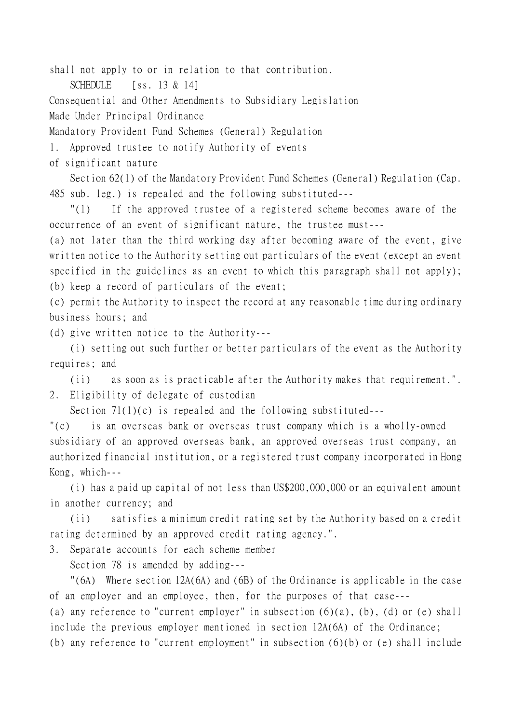shall not apply to or in relation to that contribution.

SCHEDULE  $[ss. 13 \& 14]$ 

Consequential and Other Amendments to Subsidiary Legislation

Made Under Principal Ordinance

Mandatory Provident Fund Schemes (General) Regulation

1. Approved trustee to notify Authority of events

of significant nature

Section 62(1) of the Mandatory Provident Fund Schemes (General) Regulation (Cap. 485 sub. leg.) is repealed and the following substituted---

"(1) If the approved trustee of a registered scheme becomes aware of the occurrence of an event of significant nature, the trustee must---

(a) not later than the third working day after becoming aware of the event, give written notice to the Authority setting out particulars of the event (except an event specified in the guidelines as an event to which this paragraph shall not apply); (b) keep a record of particulars of the event;

(c) permit the Authority to inspect the record at any reasonable time during ordinary business hours; and

(d) give written notice to the Authority---

(i) setting out such further or better particulars of the event as the Authority requires; and

(ii) as soon as is practicable after the Authority makes that requirement.". 2. Eligibility of delegate of custodian

Section 71(1)(c) is repealed and the following substituted---

"(c) is an overseas bank or overseas trust company which is a wholly-owned subsidiary of an approved overseas bank, an approved overseas trust company, an authorized financial institution, or a registered trust company incorporated in Hong Kong, which---

(i) has a paid up capital of not less than US\$200,000,000 or an equivalent amount in another currency; and

(ii) satisfies a minimum credit rating set by the Authority based on a credit rating determined by an approved credit rating agency.".

3. Separate accounts for each scheme member

Section 78 is amended by adding---

"(6A) Where section 12A(6A) and (6B) of the Ordinance is applicable in the case of an employer and an employee, then, for the purposes of that case---

(a) any reference to "current employer" in subsection  $(6)(a)$ ,  $(b)$ ,  $(d)$  or  $(e)$  shall include the previous employer mentioned in section 12A(6A) of the Ordinance;

(b) any reference to "current employment" in subsection (6)(b) or (e) shall include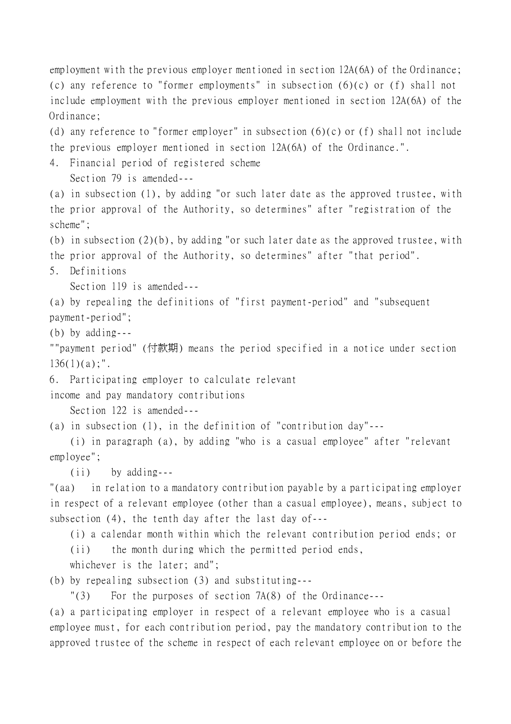employment with the previous employer mentioned in section 12A(6A) of the Ordinance; (c) any reference to "former employments" in subsection (6)(c) or (f) shall not include employment with the previous employer mentioned in section 12A(6A) of the Ordinance;

(d) any reference to "former employer" in subsection (6)(c) or (f) shall not include the previous employer mentioned in section 12A(6A) of the Ordinance.".

4. Financial period of registered scheme

Section 79 is amended---

(a) in subsection (1), by adding "or such later date as the approved trustee, with the prior approval of the Authority, so determines" after "registration of the scheme";

(b) in subsection (2)(b), by adding "or such later date as the approved trustee, with the prior approval of the Authority, so determines" after "that period".

5. Definitions

Section 119 is amended---

(a) by repealing the definitions of "first payment-period" and "subsequent payment-period";

(b) by adding---

""payment period" (付款期) means the period specified in a notice under section  $136(1)(a)$ ;".

6. Participating employer to calculate relevant

income and pay mandatory contributions

Section 122 is amended---

(a) in subsection (1), in the definition of "contribution day"---

(i) in paragraph (a), by adding "who is a casual employee" after "relevant employee";

(ii) by adding---

"(aa) in relation to a mandatory contribution payable by a participating employer in respect of a relevant employee (other than a casual employee), means, subject to subsection (4), the tenth day after the last day of---

(i) a calendar month within which the relevant contribution period ends; or (ii) the month during which the permitted period ends,

whichever is the later; and";

(b) by repealing subsection (3) and substituting---

"(3) For the purposes of section 7A(8) of the Ordinance---

(a) a participating employer in respect of a relevant employee who is a casual employee must, for each contribution period, pay the mandatory contribution to the approved trustee of the scheme in respect of each relevant employee on or before the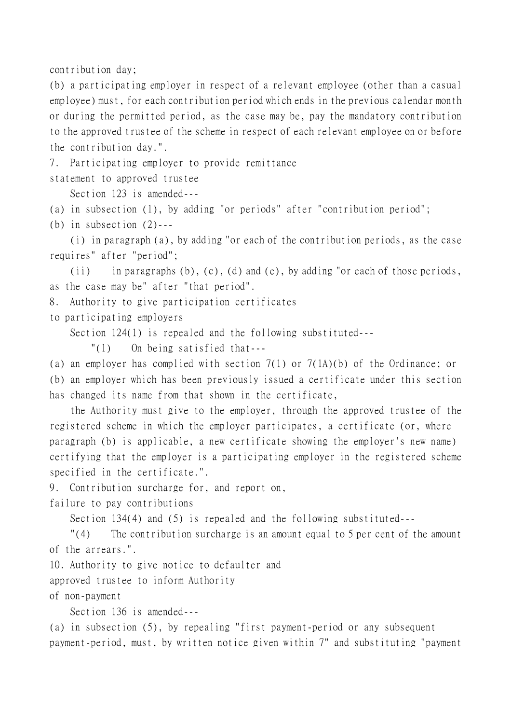contribution day;

(b) a participating employer in respect of a relevant employee (other than a casual employee) must, for each contribution period which ends in the previous calendar month or during the permitted period, as the case may be, pay the mandatory contribution to the approved trustee of the scheme in respect of each relevant employee on or before the contribution day.".

7. Participating employer to provide remittance

statement to approved trustee

Section 123 is amended---

(a) in subsection (1), by adding "or periods" after "contribution period";

(b) in subsection  $(2)$ ---

(i) in paragraph (a), by adding "or each of the contribution periods, as the case requires" after "period";

(ii) in paragraphs (b), (c), (d) and (e), by adding "or each of those periods, as the case may be" after "that period".

8. Authority to give participation certificates

to participating employers

Section 124(1) is repealed and the following substituted---

"(1) On being satisfied that---

(a) an employer has complied with section 7(1) or 7(1A)(b) of the Ordinance; or (b) an employer which has been previously issued a certificate under this section has changed its name from that shown in the certificate,

the Authority must give to the employer, through the approved trustee of the registered scheme in which the employer participates, a certificate (or, where paragraph (b) is applicable, a new certificate showing the employer's new name) certifying that the employer is a participating employer in the registered scheme specified in the certificate.".

9. Contribution surcharge for, and report on,

failure to pay contributions

Section 134(4) and (5) is repealed and the following substituted---

"(4) The contribution surcharge is an amount equal to 5 per cent of the amount of the arrears.".

10. Authority to give notice to defaulter and

approved trustee to inform Authority

of non-payment

Section 136 is amended---

(a) in subsection (5), by repealing "first payment-period or any subsequent payment-period, must, by written notice given within 7" and substituting "payment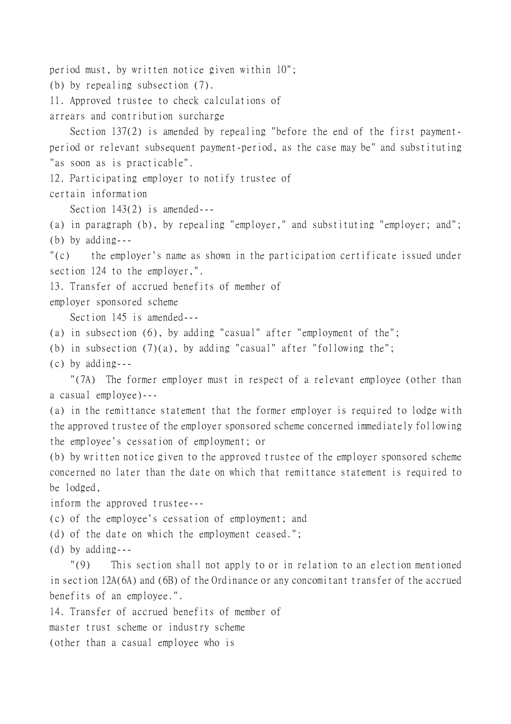period must, by written notice given within 10";

(b) by repealing subsection (7).

11. Approved trustee to check calculations of

arrears and contribution surcharge

Section 137(2) is amended by repealing "before the end of the first paymentperiod or relevant subsequent payment-period, as the case may be" and substituting "as soon as is practicable".

12. Participating employer to notify trustee of

certain information

Section 143(2) is amended---

(a) in paragraph (b), by repealing "employer," and substituting "employer; and"; (b) by adding---

"(c) the employer's name as shown in the participation certificate issued under section 124 to the employer,".

13. Transfer of accrued benefits of member of

employer sponsored scheme

Section 145 is amended---

(a) in subsection (6), by adding "casual" after "employment of the";

(b) in subsection  $(7)(a)$ , by adding "casual" after "following the";

(c) by adding---

"(7A) The former employer must in respect of a relevant employee (other than a casual employee)---

(a) in the remittance statement that the former employer is required to lodge with the approved trustee of the employer sponsored scheme concerned immediately following the employee's cessation of employment; or

(b) by written notice given to the approved trustee of the employer sponsored scheme concerned no later than the date on which that remittance statement is required to be lodged,

inform the approved trustee---

(c) of the employee's cessation of employment; and

(d) of the date on which the employment ceased.";

(d) by adding---

"(9) This section shall not apply to or in relation to an election mentioned in section 12A(6A) and (6B) of the Ordinance or any concomitant transfer of the accrued benefits of an employee.".

14. Transfer of accrued benefits of member of

master trust scheme or industry scheme

(other than a casual employee who is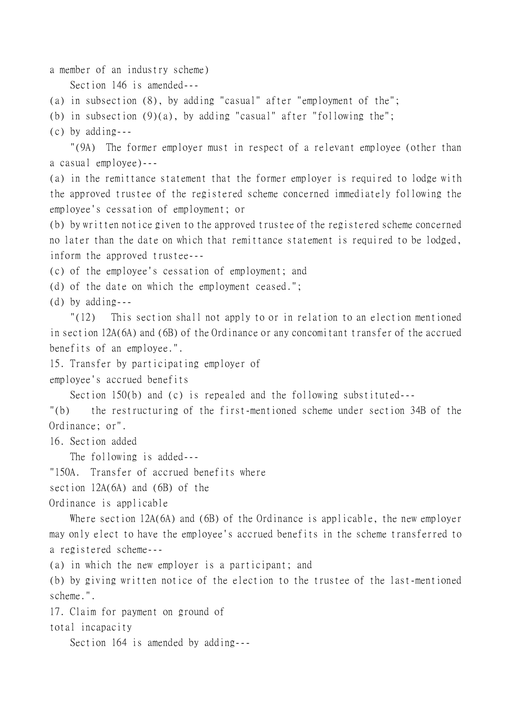a member of an industry scheme)

Section 146 is amended---

(a) in subsection (8), by adding "casual" after "employment of the";

(b) in subsection  $(9)(a)$ , by adding "casual" after "following the";

(c) by adding---

"(9A) The former employer must in respect of a relevant employee (other than a casual employee)---

(a) in the remittance statement that the former employer is required to lodge with the approved trustee of the registered scheme concerned immediately following the employee's cessation of employment; or

(b) by written notice given to the approved trustee of the registered scheme concerned no later than the date on which that remittance statement is required to be lodged, inform the approved trustee---

(c) of the employee's cessation of employment; and

(d) of the date on which the employment ceased.";

(d) by adding---

"(12) This section shall not apply to or in relation to an election mentioned in section 12A(6A) and (6B) of the Ordinance or any concomitant transfer of the accrued benefits of an employee.".

15. Transfer by participating employer of

employee's accrued benefits

Section 150(b) and (c) is repealed and the following substituted---

"(b) the restructuring of the first-mentioned scheme under section 34B of the Ordinance; or".

16. Section added

The following is added---

"150A. Transfer of accrued benefits where

section 12A(6A) and (6B) of the

Ordinance is applicable

Where section 12A(6A) and (6B) of the Ordinance is applicable, the new employer may only elect to have the employee's accrued benefits in the scheme transferred to a registered scheme---

(a) in which the new employer is a participant; and

(b) by giving written notice of the election to the trustee of the last-mentioned scheme.".

17. Claim for payment on ground of

total incapacity

Section 164 is amended by adding---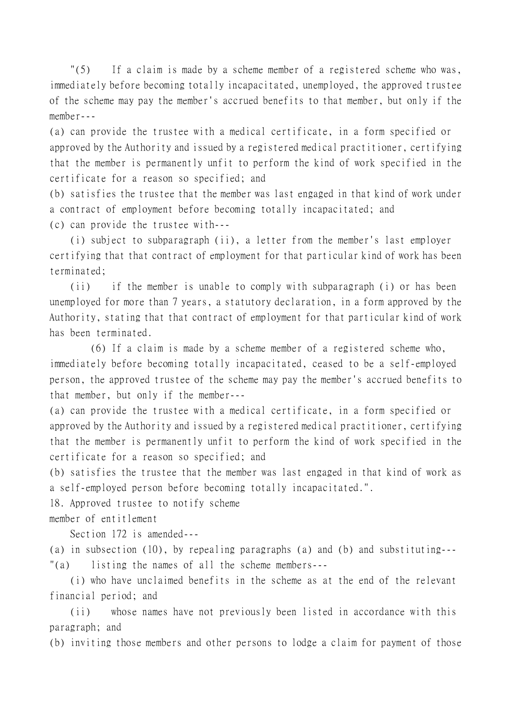"(5) If a claim is made by a scheme member of a registered scheme who was, immediately before becoming totally incapacitated, unemployed, the approved trustee of the scheme may pay the member's accrued benefits to that member, but only if the member---

(a) can provide the trustee with a medical certificate, in a form specified or approved by the Authority and issued by a registered medical practitioner, certifying that the member is permanently unfit to perform the kind of work specified in the certificate for a reason so specified; and

(b) satisfies the trustee that the member was last engaged in that kind of work under a contract of employment before becoming totally incapacitated; and (c) can provide the trustee with---

(i) subject to subparagraph (ii), a letter from the member's last employer certifying that that contract of employment for that particular kind of work has been terminated;

(ii) if the member is unable to comply with subparagraph (i) or has been unemployed for more than 7 years, a statutory declaration, in a form approved by the Authority, stating that that contract of employment for that particular kind of work has been terminated.

(6) If a claim is made by a scheme member of a registered scheme who, immediately before becoming totally incapacitated, ceased to be a self-employed person, the approved trustee of the scheme may pay the member's accrued benefits to that member, but only if the member---

(a) can provide the trustee with a medical certificate, in a form specified or approved by the Authority and issued by a registered medical practitioner, certifying that the member is permanently unfit to perform the kind of work specified in the certificate for a reason so specified; and

(b) satisfies the trustee that the member was last engaged in that kind of work as a self-employed person before becoming totally incapacitated.".

18. Approved trustee to notify scheme

member of entitlement

Section 172 is amended---

(a) in subsection (10), by repealing paragraphs (a) and (b) and substituting--- "(a) listing the names of all the scheme members---

(i) who have unclaimed benefits in the scheme as at the end of the relevant financial period; and

(ii) whose names have not previously been listed in accordance with this paragraph; and

(b) inviting those members and other persons to lodge a claim for payment of those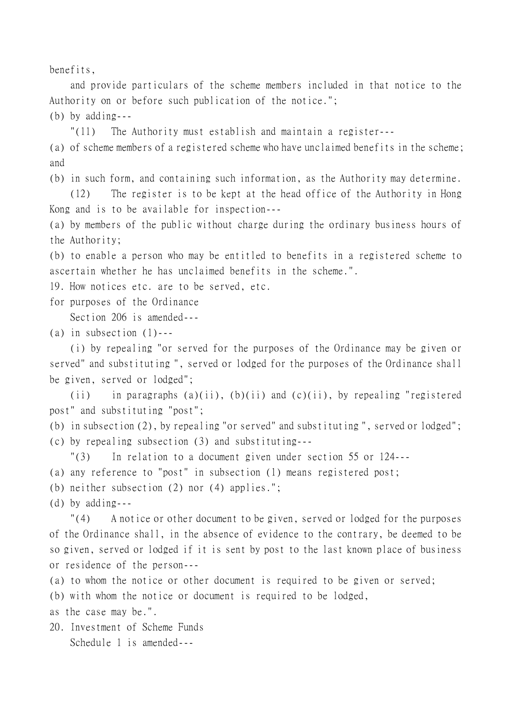benefits,

and provide particulars of the scheme members included in that notice to the Authority on or before such publication of the notice.";

(b) by adding---

"(11) The Authority must establish and maintain a register---

(a) of scheme members of a registered scheme who have unclaimed benefits in the scheme; and

(b) in such form, and containing such information, as the Authority may determine.

(12) The register is to be kept at the head office of the Authority in Hong Kong and is to be available for inspection---

(a) by members of the public without charge during the ordinary business hours of the Authority;

(b) to enable a person who may be entitled to benefits in a registered scheme to ascertain whether he has unclaimed benefits in the scheme.".

19. How notices etc. are to be served, etc.

for purposes of the Ordinance

Section 206 is amended---

(a) in subsection  $(1)$ ---

(i) by repealing "or served for the purposes of the Ordinance may be given or served" and substituting ", served or lodged for the purposes of the Ordinance shall be given, served or lodged";

(ii) in paragraphs (a)(ii), (b)(ii) and (c)(ii), by repealing "registered post" and substituting "post";

(b) in subsection (2), by repealing "or served" and substituting ", served or lodged";

(c) by repealing subsection (3) and substituting---

"(3) In relation to a document given under section 55 or 124---

(a) any reference to "post" in subsection (1) means registered post;

(b) neither subsection (2) nor (4) applies.";

(d) by adding---

"(4) A notice or other document to be given, served or lodged for the purposes of the Ordinance shall, in the absence of evidence to the contrary, be deemed to be so given, served or lodged if it is sent by post to the last known place of business or residence of the person---

(a) to whom the notice or other document is required to be given or served;

(b) with whom the notice or document is required to be lodged,

as the case may be.".

20. Investment of Scheme Funds

Schedule 1 is amended---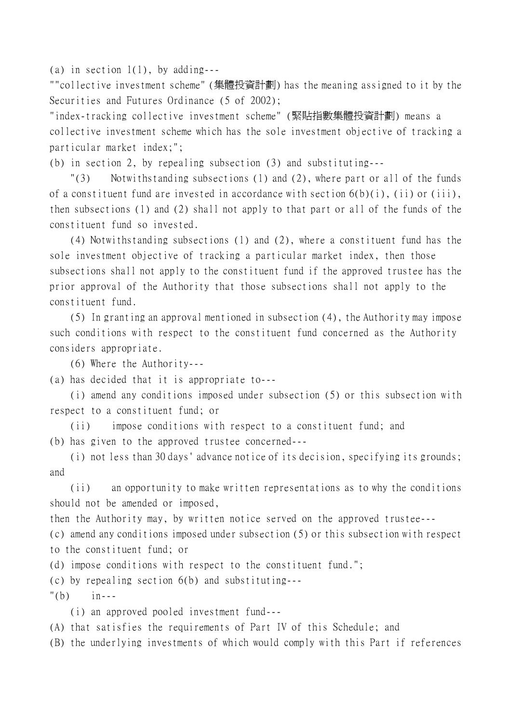(a) in section  $1(1)$ , by adding---

""collective investment scheme" (集體投資計劃) has the meaning assigned to it by the Securities and Futures Ordinance (5 of 2002);

"index-tracking collective investment scheme" (緊貼指數集體投資計劃) means a collective investment scheme which has the sole investment objective of tracking a particular market index;";

(b) in section 2, by repealing subsection (3) and substituting---

"(3) Notwithstanding subsections (1) and (2), where part or all of the funds of a constituent fund are invested in accordance with section 6(b)(i), (ii) or (iii), then subsections (1) and (2) shall not apply to that part or all of the funds of the constituent fund so invested.

(4) Notwithstanding subsections (1) and (2), where a constituent fund has the sole investment objective of tracking a particular market index, then those subsections shall not apply to the constituent fund if the approved trustee has the prior approval of the Authority that those subsections shall not apply to the constituent fund.

(5) In granting an approval mentioned in subsection (4), the Authority may impose such conditions with respect to the constituent fund concerned as the Authority considers appropriate.

(6) Where the Authority---

(a) has decided that it is appropriate to---

(i) amend any conditions imposed under subsection (5) or this subsection with respect to a constituent fund; or

(ii) impose conditions with respect to a constituent fund; and (b) has given to the approved trustee concerned---

(i) not less than 30 days' advance notice of its decision, specifying its grounds; and

(ii) an opportunity to make written representations as to why the conditions should not be amended or imposed,

then the Authority may, by written notice served on the approved trustee---

(c) amend any conditions imposed under subsection (5) or this subsection with respect to the constituent fund; or

(d) impose conditions with respect to the constituent fund.";

(c) by repealing section 6(b) and substituting---

 $"$ (b)  $in--$ 

(i) an approved pooled investment fund---

(A) that satisfies the requirements of Part IV of this Schedule; and

(B) the underlying investments of which would comply with this Part if references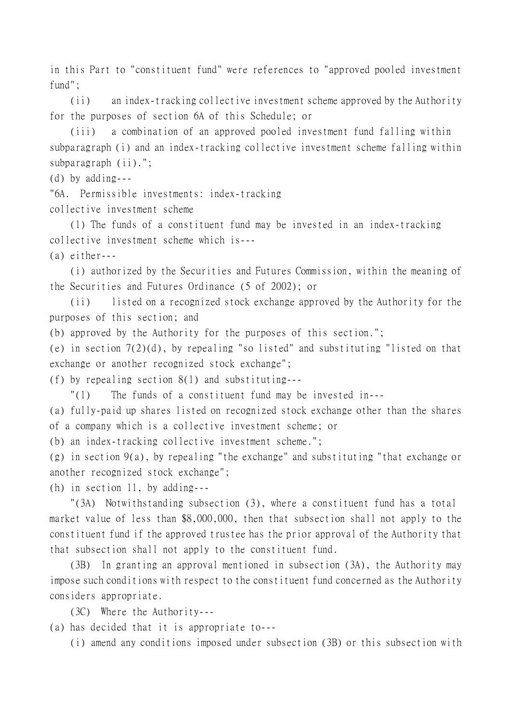in this Part to "constituent fund" were references to "approved pooled investment fund";

(ii) an index-tracking collective investment scheme approved by the Authority for the purposes of section 6A of this Schedule; or

(iii) a combination of an approved pooled investment fund falling within subparagraph (i) and an index-tracking collective investment scheme falling within subparagraph (ii).";

(d) by adding---

"6A. Permissible investments: index-tracking

collective investment scheme

(1) The funds of a constituent fund may be invested in an index-tracking collective investment scheme which is---

(a) either---

(i) authorized by the Securities and Futures Commission, within the meaning of the Securities and Futures Ordinance (5 of 2002); or

(ii) listed on a recognized stock exchange approved by the Authority for the purposes of this section; and

(b) approved by the Authority for the purposes of this section.";

(e) in section 7(2)(d), by repealing "so listed" and substituting "listed on that exchange or another recognized stock exchange";

(f) by repealing section 8(1) and substituting---

"(1) The funds of a constituent fund may be invested in---

(a) fully-paid up shares listed on recognized stock exchange other than the shares of a company which is a collective investment scheme; or

(b) an index-tracking collective investment scheme.";

(g) in section 9(a), by repealing "the exchange" and substituting "that exchange or another recognized stock exchange";

(h) in section 11, by adding---

"(3A) Notwithstanding subsection (3), where a constituent fund has a total market value of less than \$8,000,000, then that subsection shall not apply to the constituent fund if the approved trustee has the prior approval of the Authority that that subsection shall not apply to the constituent fund.

(3B) In granting an approval mentioned in subsection (3A), the Authority may impose such conditions with respect to the constituent fund concerned as the Authority considers appropriate.

(3C) Where the Authority---

(a) has decided that it is appropriate to---

(i) amend any conditions imposed under subsection (3B) or this subsection with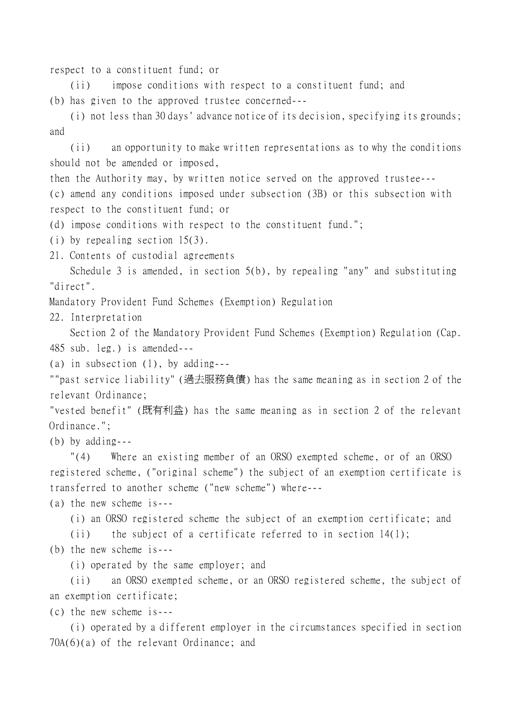respect to a constituent fund; or

(ii) impose conditions with respect to a constituent fund; and (b) has given to the approved trustee concerned---

(i) not less than 30 days' advance notice of its decision, specifying its grounds; and

(ii) an opportunity to make written representations as to why the conditions should not be amended or imposed,

then the Authority may, by written notice served on the approved trustee---

(c) amend any conditions imposed under subsection (3B) or this subsection with respect to the constituent fund; or

(d) impose conditions with respect to the constituent fund.";

(i) by repealing section 15(3).

21. Contents of custodial agreements

Schedule 3 is amended, in section 5(b), by repealing "any" and substituting "direct".

Mandatory Provident Fund Schemes (Exemption) Regulation

22. Interpretation

Section 2 of the Mandatory Provident Fund Schemes (Exemption) Regulation (Cap. 485 sub. leg.) is amended---

(a) in subsection (1), by adding---

""past service liability" (過去服務負債) has the same meaning as in section 2 of the relevant Ordinance;

"vested benefit" (既有利益) has the same meaning as in section 2 of the relevant Ordinance.";

(b) by adding---

"(4) Where an existing member of an ORSO exempted scheme, or of an ORSO registered scheme, ("original scheme") the subject of an exemption certificate is transferred to another scheme ("new scheme") where---

(a) the new scheme is---

(i) an ORSO registered scheme the subject of an exemption certificate; and

(ii) the subject of a certificate referred to in section 14(1);

(b) the new scheme is---

(i) operated by the same employer; and

(ii) an ORSO exempted scheme, or an ORSO registered scheme, the subject of an exemption certificate;

(c) the new scheme is---

(i) operated by a different employer in the circumstances specified in section 70A(6)(a) of the relevant Ordinance; and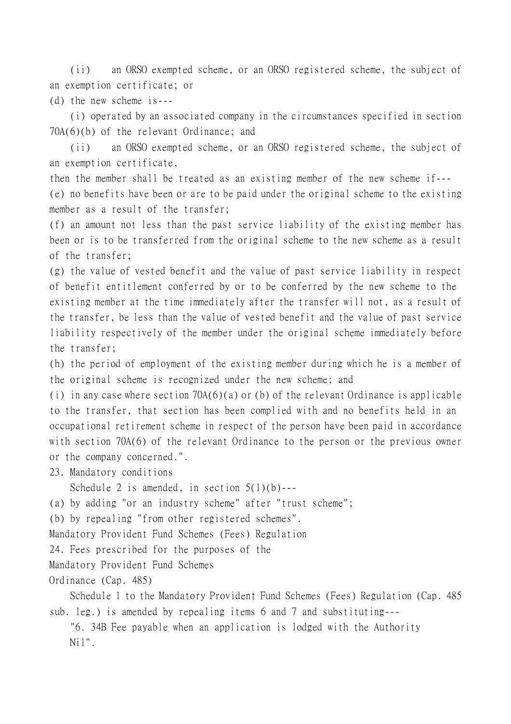(ii) an ORSO exempted scheme, or an ORSO registered scheme, the subject of an exemption certificate; or

(d) the new scheme is---

(i) operated by an associated company in the circumstances specified in section 70A(6)(b) of the relevant Ordinance; and

(ii) an ORSO exempted scheme, or an ORSO registered scheme, the subject of an exemption certificate,

then the member shall be treated as an existing member of the new scheme if--- (e) no benefits have been or are to be paid under the original scheme to the existing member as a result of the transfer;

(f) an amount not less than the past service liability of the existing member has been or is to be transferred from the original scheme to the new scheme as a result of the transfer;

(g) the value of vested benefit and the value of past service liability in respect of benefit entitlement conferred by or to be conferred by the new scheme to the existing member at the time immediately after the transfer will not, as a result of the transfer, be less than the value of vested benefit and the value of past service liability respectively of the member under the original scheme immediately before the transfer;

(h) the period of employment of the existing member during which he is a member of the original scheme is recognized under the new scheme; and

(i) in any case where section 70A(6)(a) or (b) of the relevant Ordinance is applicable to the transfer, that section has been complied with and no benefits held in an occupational retirement scheme in respect of the person have been paid in accordance with section 70A(6) of the relevant Ordinance to the person or the previous owner or the company concerned.".

23. Mandatory conditions

Schedule 2 is amended, in section  $5(1)(b)$ ---

(a) by adding "or an industry scheme" after "trust scheme";

(b) by repealing "from other registered schemes".

Mandatory Provident Fund Schemes (Fees) Regulation

24. Fees prescribed for the purposes of the

Mandatory Provident Fund Schemes

Ordinance (Cap. 485)

Schedule 1 to the Mandatory Provident Fund Schemes (Fees) Regulation (Cap. 485 sub. leg.) is amended by repealing items 6 and 7 and substituting---

"6. 34B Fee payable when an application is lodged with the Authority Nil".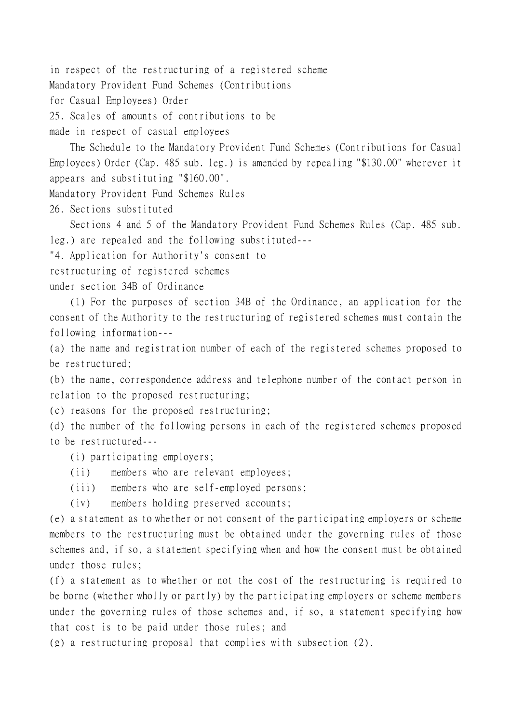in respect of the restructuring of a registered scheme

Mandatory Provident Fund Schemes (Contributions

for Casual Employees) Order

25. Scales of amounts of contributions to be

made in respect of casual employees

The Schedule to the Mandatory Provident Fund Schemes (Contributions for Casual Employees) Order (Cap. 485 sub. leg.) is amended by repealing "\$130.00" wherever it appears and substituting "\$160.00".

Mandatory Provident Fund Schemes Rules

26. Sections substituted

Sections 4 and 5 of the Mandatory Provident Fund Schemes Rules (Cap. 485 sub. leg.) are repealed and the following substituted---

"4. Application for Authority's consent to

restructuring of registered schemes

under section 34B of Ordinance

(1) For the purposes of section 34B of the Ordinance, an application for the consent of the Authority to the restructuring of registered schemes must contain the following information---

(a) the name and registration number of each of the registered schemes proposed to be restructured;

(b) the name, correspondence address and telephone number of the contact person in relation to the proposed restructuring;

(c) reasons for the proposed restructuring;

(d) the number of the following persons in each of the registered schemes proposed to be restructured---

(i) participating employers;

(ii) members who are relevant employees;

(iii) members who are self-employed persons;

(iv) members holding preserved accounts;

(e) a statement as to whether or not consent of the participating employers or scheme members to the restructuring must be obtained under the governing rules of those schemes and, if so, a statement specifying when and how the consent must be obtained under those rules;

(f) a statement as to whether or not the cost of the restructuring is required to be borne (whether wholly or partly) by the participating employers or scheme members under the governing rules of those schemes and, if so, a statement specifying how that cost is to be paid under those rules; and

(g) a restructuring proposal that complies with subsection (2).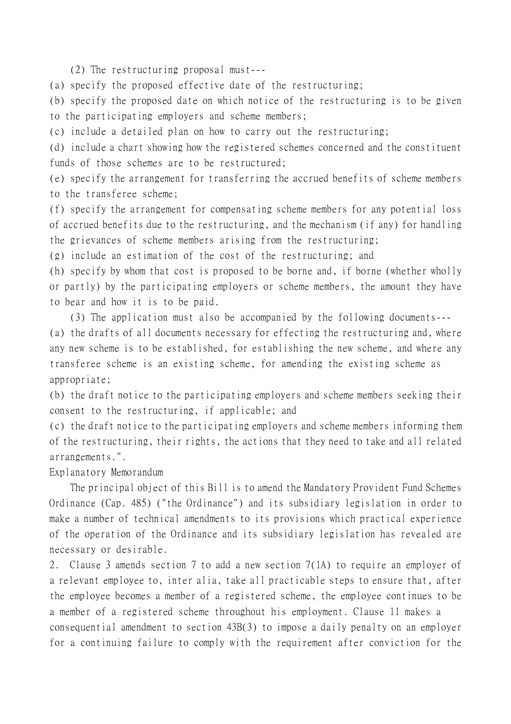(2) The restructuring proposal must---

(a) specify the proposed effective date of the restructuring;

(b) specify the proposed date on which notice of the restructuring is to be given to the participating employers and scheme members;

(c) include a detailed plan on how to carry out the restructuring;

(d) include a chart showing how the registered schemes concerned and the constituent funds of those schemes are to be restructured;

(e) specify the arrangement for transferring the accrued benefits of scheme members to the transferee scheme;

(f) specify the arrangement for compensating scheme members for any potential loss of accrued benefits due to the restructuring, and the mechanism (if any) for handling the grievances of scheme members arising from the restructuring;

(g) include an estimation of the cost of the restructuring; and

(h) specify by whom that cost is proposed to be borne and, if borne (whether wholly or partly) by the participating employers or scheme members, the amount they have to bear and how it is to be paid.

(3) The application must also be accompanied by the following documents---

(a) the drafts of all documents necessary for effecting the restructuring and, where any new scheme is to be established, for establishing the new scheme, and where any transferee scheme is an existing scheme, for amending the existing scheme as appropriate;

(b) the draft notice to the participating employers and scheme members seeking their consent to the restructuring, if applicable; and

(c) the draft notice to the participating employers and scheme members informing them of the restructuring, their rights, the actions that they need to take and all related arrangements.".

Explanatory Memorandum

The principal object of this Bill is to amend the Mandatory Provident Fund Schemes Ordinance (Cap. 485) ("the Ordinance") and its subsidiary legislation in order to make a number of technical amendments to its provisions which practical experience of the operation of the Ordinance and its subsidiary legislation has revealed are necessary or desirable.

2. Clause 3 amends section 7 to add a new section 7(1A) to require an employer of a relevant employee to, inter alia, take all practicable steps to ensure that, after the employee becomes a member of a registered scheme, the employee continues to be a member of a registered scheme throughout his employment. Clause 11 makes a consequential amendment to section 43B(3) to impose a daily penalty on an employer for a continuing failure to comply with the requirement after conviction for the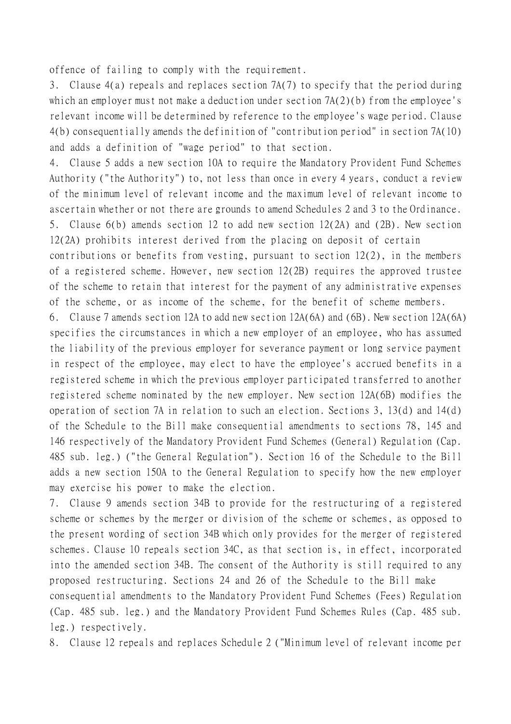offence of failing to comply with the requirement.

3. Clause 4(a) repeals and replaces section 7A(7) to specify that the period during which an employer must not make a deduction under section  $7A(2)(b)$  from the employee's relevant income will be determined by reference to the employee's wage period. Clause 4(b) consequentially amends the definition of "contribution period" in section 7A(10) and adds a definition of "wage period" to that section.

4. Clause 5 adds a new section 10A to require the Mandatory Provident Fund Schemes Authority ("the Authority") to, not less than once in every 4 years, conduct a review of the minimum level of relevant income and the maximum level of relevant income to ascertain whether or not there are grounds to amend Schedules 2 and 3 to the Ordinance. 5. Clause 6(b) amends section 12 to add new section 12(2A) and (2B). New section 12(2A) prohibits interest derived from the placing on deposit of certain contributions or benefits from vesting, pursuant to section 12(2), in the members of a registered scheme. However, new section 12(2B) requires the approved trustee of the scheme to retain that interest for the payment of any administrative expenses of the scheme, or as income of the scheme, for the benefit of scheme members. 6. Clause 7 amends section 12A to add new section 12A(6A) and (6B). New section 12A(6A)

specifies the circumstances in which a new employer of an employee, who has assumed the liability of the previous employer for severance payment or long service payment in respect of the employee, may elect to have the employee's accrued benefits in a registered scheme in which the previous employer participated transferred to another registered scheme nominated by the new employer. New section 12A(6B) modifies the operation of section 7A in relation to such an election. Sections 3, 13(d) and 14(d) of the Schedule to the Bill make consequential amendments to sections 78, 145 and 146 respectively of the Mandatory Provident Fund Schemes (General) Regulation (Cap. 485 sub. leg.) ("the General Regulation"). Section 16 of the Schedule to the Bill adds a new section 150A to the General Regulation to specify how the new employer may exercise his power to make the election.

7. Clause 9 amends section 34B to provide for the restructuring of a registered scheme or schemes by the merger or division of the scheme or schemes, as opposed to the present wording of section 34B which only provides for the merger of registered schemes. Clause 10 repeals section 34C, as that section is, in effect, incorporated into the amended section 34B. The consent of the Authority is still required to any proposed restructuring. Sections 24 and 26 of the Schedule to the Bill make consequential amendments to the Mandatory Provident Fund Schemes (Fees) Regulation (Cap. 485 sub. leg.) and the Mandatory Provident Fund Schemes Rules (Cap. 485 sub. leg.) respectively.

8. Clause 12 repeals and replaces Schedule 2 ("Minimum level of relevant income per